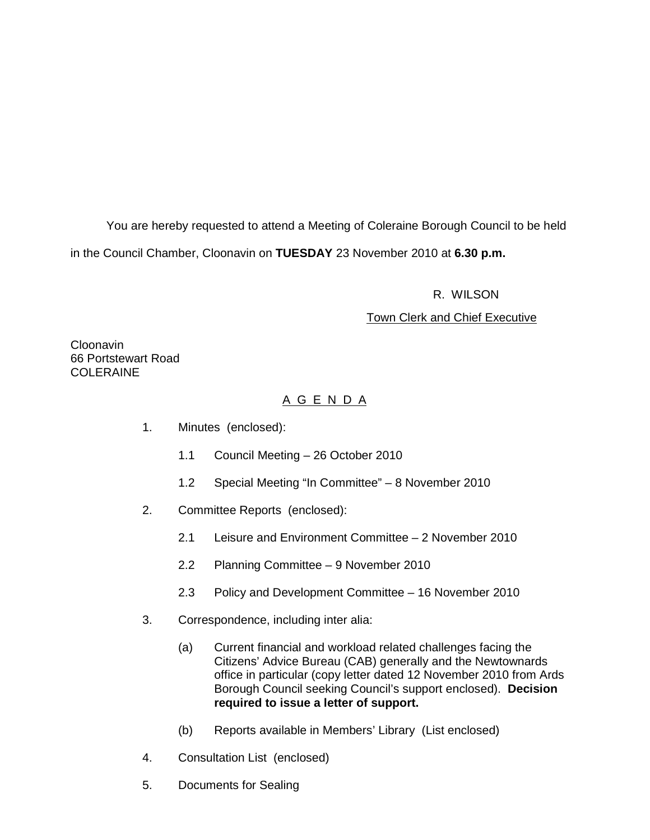You are hereby requested to attend a Meeting of Coleraine Borough Council to be held in the Council Chamber, Cloonavin on **TUESDAY** 23 November 2010 at **6.30 p.m.** 

R. WILSON

# Town Clerk and Chief Executive

Cloonavin 66 Portstewart Road COLERAINE

# A G E N D A

- 1. Minutes (enclosed):
	- 1.1 Council Meeting 26 October 2010
	- 1.2 Special Meeting "In Committee" 8 November 2010
- 2. Committee Reports (enclosed):
	- 2.1 Leisure and Environment Committee 2 November 2010
	- 2.2 Planning Committee 9 November 2010
	- 2.3 Policy and Development Committee 16 November 2010
- 3. Correspondence, including inter alia:
	- (a) Current financial and workload related challenges facing the Citizens' Advice Bureau (CAB) generally and the Newtownards office in particular (copy letter dated 12 November 2010 from Ards Borough Council seeking Council's support enclosed). **Decision required to issue a letter of support.**
	- (b) Reports available in Members' Library (List enclosed)
- 4. Consultation List (enclosed)
- 5. Documents for Sealing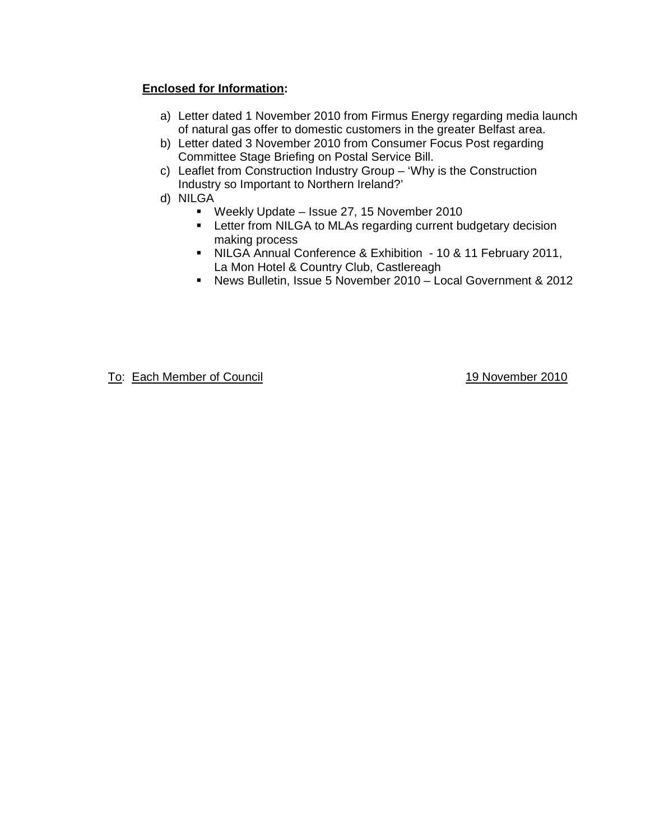# **Enclosed for Information:**

- a) Letter dated 1 November 2010 from Firmus Energy regarding media launch of natural gas offer to domestic customers in the greater Belfast area.
- b) Letter dated 3 November 2010 from Consumer Focus Post regarding Committee Stage Briefing on Postal Service Bill.
- c) Leaflet from Construction Industry Group 'Why is the Construction Industry so Important to Northern Ireland?'
- d) NILGA
	- Weekly Update Issue 27, 15 November 2010
	- **EXECTER 15 FILM FILM INCORTATE:** Letter from NILGA to MLAs regarding current budgetary decision making process
	- NILGA Annual Conference & Exhibition 10 & 11 February 2011, La Mon Hotel & Country Club, Castlereagh
	- News Bulletin, Issue 5 November 2010 Local Government & 2012

To: Each Member of Council **19 November 2010**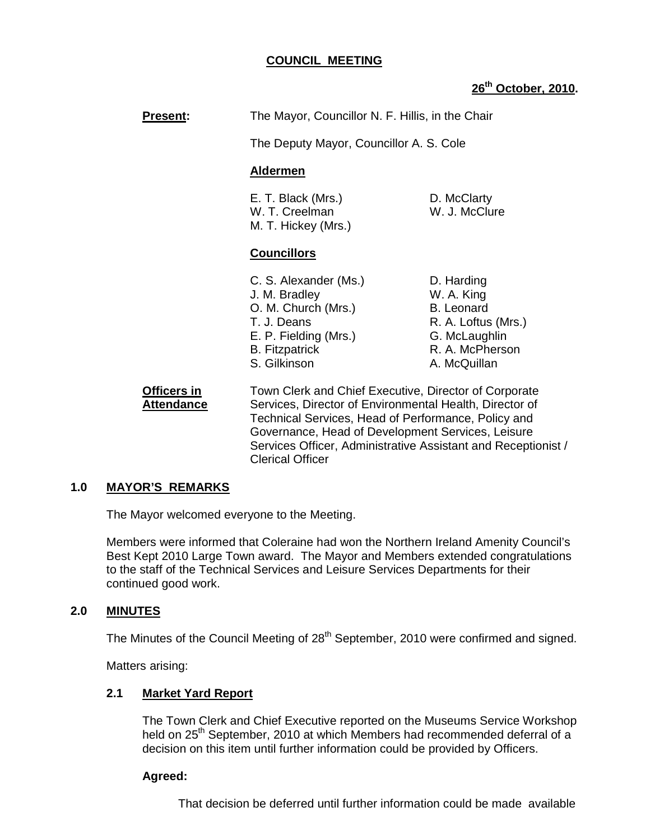# **COUNCIL MEETING**

# **26th October, 2010.**

**Present:** The Mayor, Councillor N. F. Hillis, in the Chair

The Deputy Mayor, Councillor A. S. Cole

### **Aldermen**

E. T. Black (Mrs.) D. McClarty W. T. Creelman W. J. McClure M. T. Hickey (Mrs.)

# **Councillors**

- C. S. Alexander (Ms.) D. Harding J. M. Bradley W. A. King O. M. Church (Mrs.) B. Leonard T. J. Deans R. A. Loftus (Mrs.) E. P. Fielding (Mrs.) G. McLaughlin B. Fitzpatrick R. A. McPherson S. Gilkinson A. McQuillan
- 

**Officers in Town Clerk and Chief Executive, Director of Corporate Attendance** Services, Director of Environmental Health, Director of Technical Services, Head of Performance, Policy and Governance, Head of Development Services, Leisure Services Officer, Administrative Assistant and Receptionist / Clerical Officer

#### **1.0 MAYOR'S REMARKS**

The Mayor welcomed everyone to the Meeting.

Members were informed that Coleraine had won the Northern Ireland Amenity Council's Best Kept 2010 Large Town award. The Mayor and Members extended congratulations to the staff of the Technical Services and Leisure Services Departments for their continued good work.

# **2.0 MINUTES**

The Minutes of the Council Meeting of 28<sup>th</sup> September, 2010 were confirmed and signed.

Matters arising:

#### **2.1 Market Yard Report**

The Town Clerk and Chief Executive reported on the Museums Service Workshop held on 25<sup>th</sup> September, 2010 at which Members had recommended deferral of a decision on this item until further information could be provided by Officers.

# **Agreed:**

That decision be deferred until further information could be made available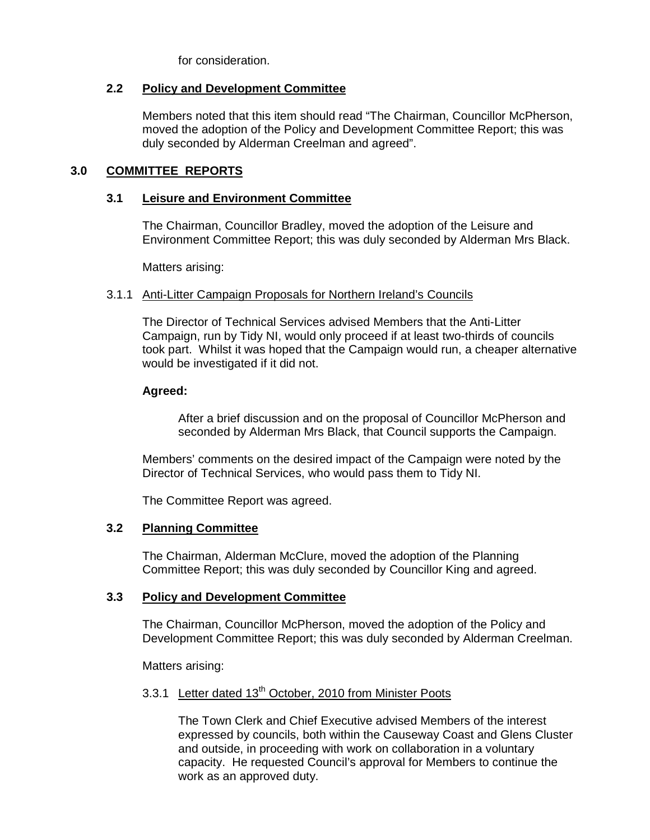for consideration.

# **2.2 Policy and Development Committee**

 Members noted that this item should read "The Chairman, Councillor McPherson, moved the adoption of the Policy and Development Committee Report; this was duly seconded by Alderman Creelman and agreed".

# **3.0 COMMITTEE REPORTS**

# **3.1 Leisure and Environment Committee**

The Chairman, Councillor Bradley, moved the adoption of the Leisure and Environment Committee Report; this was duly seconded by Alderman Mrs Black.

Matters arising:

# 3.1.1 Anti-Litter Campaign Proposals for Northern Ireland's Councils

The Director of Technical Services advised Members that the Anti-Litter Campaign, run by Tidy NI, would only proceed if at least two-thirds of councils took part. Whilst it was hoped that the Campaign would run, a cheaper alternative would be investigated if it did not.

# **Agreed:**

After a brief discussion and on the proposal of Councillor McPherson and seconded by Alderman Mrs Black, that Council supports the Campaign.

Members' comments on the desired impact of the Campaign were noted by the Director of Technical Services, who would pass them to Tidy NI.

The Committee Report was agreed.

# **3.2 Planning Committee**

The Chairman, Alderman McClure, moved the adoption of the Planning Committee Report; this was duly seconded by Councillor King and agreed.

# **3.3 Policy and Development Committee**

The Chairman, Councillor McPherson, moved the adoption of the Policy and Development Committee Report; this was duly seconded by Alderman Creelman.

Matters arising:

# 3.3.1 Letter dated 13<sup>th</sup> October, 2010 from Minister Poots

The Town Clerk and Chief Executive advised Members of the interest expressed by councils, both within the Causeway Coast and Glens Cluster and outside, in proceeding with work on collaboration in a voluntary capacity. He requested Council's approval for Members to continue the work as an approved duty.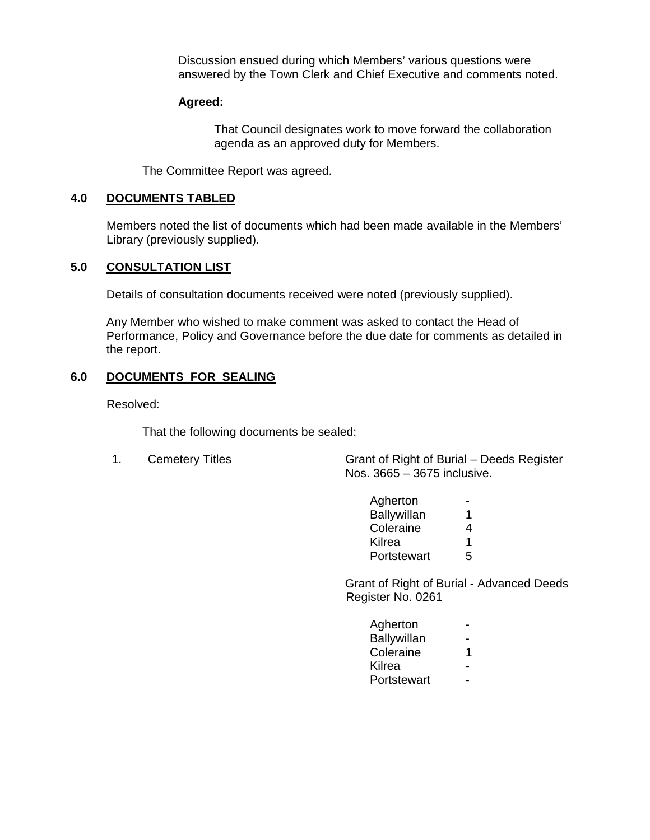Discussion ensued during which Members' various questions were answered by the Town Clerk and Chief Executive and comments noted.

### **Agreed:**

 That Council designates work to move forward the collaboration agenda as an approved duty for Members.

The Committee Report was agreed.

#### **4.0 DOCUMENTS TABLED**

Members noted the list of documents which had been made available in the Members' Library (previously supplied).

### **5.0 CONSULTATION LIST**

Details of consultation documents received were noted (previously supplied).

Any Member who wished to make comment was asked to contact the Head of Performance, Policy and Governance before the due date for comments as detailed in the report.

# **6.0 DOCUMENTS FOR SEALING**

Resolved:

That the following documents be sealed:

1. Cemetery Titles Grant of Right of Burial – Deeds Register Nos. 3665 – 3675 inclusive.

| Agherton           |   |
|--------------------|---|
| <b>Ballywillan</b> | 1 |
| Coleraine          | 4 |
| Kilrea             | 1 |
| Portstewart        | 5 |

 Grant of Right of Burial - Advanced Deeds Register No. 0261

| Agherton    | . .            |
|-------------|----------------|
| Ballywillan | $\sim$ $\sim$  |
| Coleraine   | $\overline{1}$ |
| Kilrea      | . .            |
| Portstewart | $\sim$         |
|             |                |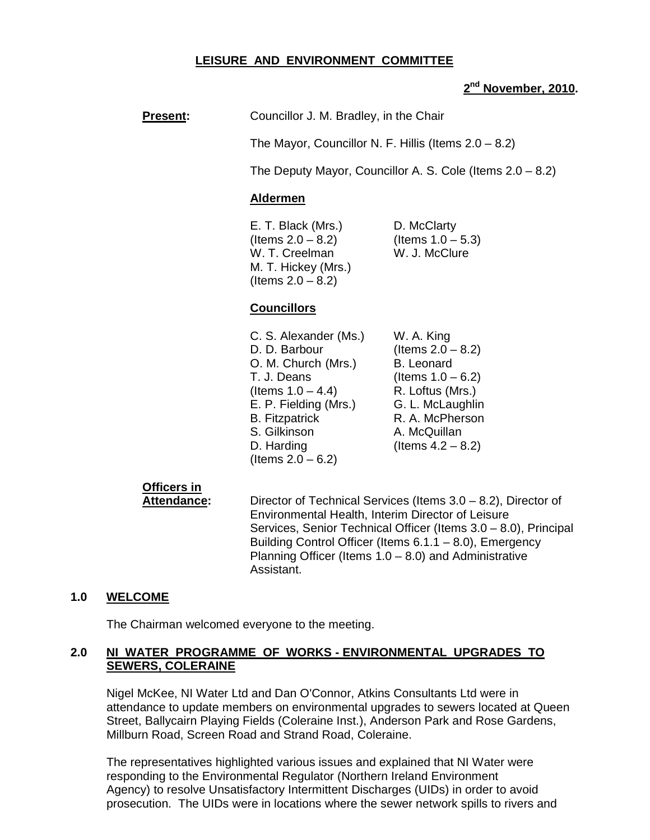# **LEISURE AND ENVIRONMENT COMMITTEE**

# **2 nd November, 2010.**

**Present:** Councillor J. M. Bradley, in the Chair

The Mayor, Councillor N. F. Hillis (Items 2.0 – 8.2)

The Deputy Mayor, Councillor A. S. Cole (Items 2.0 – 8.2)

#### **Aldermen**

E. T. Black (Mrs.) D. McClarty  $($ ltems 2.0 – 8.2) (Items 1.0 – 5.3) W. T. Creelman W. J. McClure M. T. Hickey (Mrs.) (Items  $2.0 - 8.2$ )

### **Councillors**

| C. S. Alexander (Ms.) | W. A. King           |
|-----------------------|----------------------|
| D. D. Barbour         | (Items $2.0 - 8.2$ ) |
| O. M. Church (Mrs.)   | <b>B.</b> Leonard    |
| T. J. Deans           | (Items $1.0 - 6.2$ ) |
| (Items $1.0 - 4.4$ )  | R. Loftus (Mrs.)     |
| E. P. Fielding (Mrs.) | G. L. McLaughlin     |
| <b>B.</b> Fitzpatrick | R. A. McPherson      |
| S. Gilkinson          | A. McQuillan         |
| D. Harding            | (Items $4.2 - 8.2$ ) |
| (Items $2.0 - 6.2$ )  |                      |

# **Officers in**

**Attendance:** Director of Technical Services (Items 3.0 – 8.2), Director of Environmental Health, Interim Director of Leisure Services, Senior Technical Officer (Items 3.0 – 8.0), Principal Building Control Officer (Items 6.1.1 – 8.0), Emergency Planning Officer (Items  $1.0 - 8.0$ ) and Administrative Assistant.

#### **1.0 WELCOME**

The Chairman welcomed everyone to the meeting.

### **2.0 NI WATER PROGRAMME OF WORKS - ENVIRONMENTAL UPGRADES TO SEWERS, COLERAINE**

 Nigel McKee, NI Water Ltd and Dan O'Connor, Atkins Consultants Ltd were in attendance to update members on environmental upgrades to sewers located at Queen Street, Ballycairn Playing Fields (Coleraine Inst.), Anderson Park and Rose Gardens, Millburn Road, Screen Road and Strand Road, Coleraine.

 The representatives highlighted various issues and explained that NI Water were responding to the Environmental Regulator (Northern Ireland Environment Agency) to resolve Unsatisfactory Intermittent Discharges (UIDs) in order to avoid prosecution. The UIDs were in locations where the sewer network spills to rivers and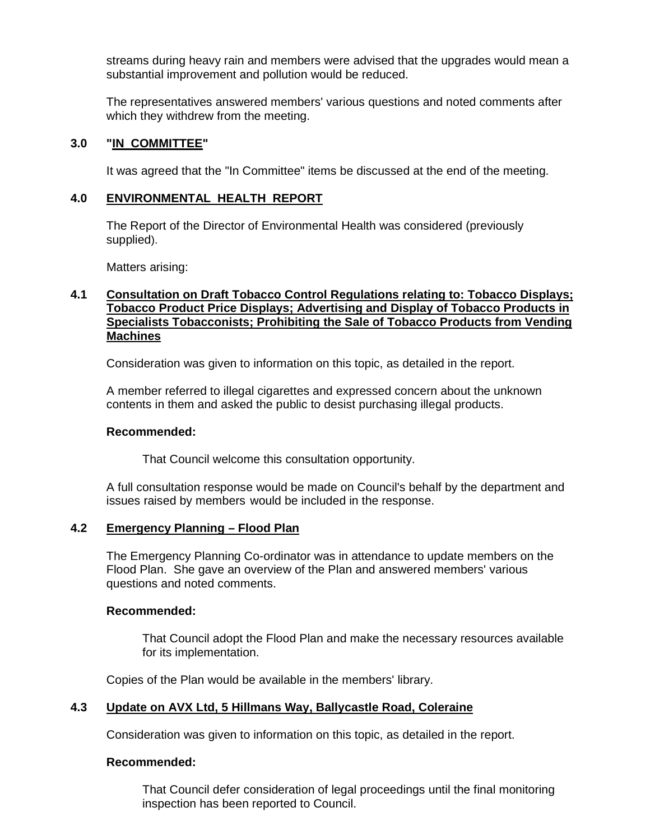streams during heavy rain and members were advised that the upgrades would mean a substantial improvement and pollution would be reduced.

 The representatives answered members' various questions and noted comments after which they withdrew from the meeting.

# **3.0 "IN COMMITTEE"**

It was agreed that the "In Committee" items be discussed at the end of the meeting.

### **4.0 ENVIRONMENTAL HEALTH REPORT**

The Report of the Director of Environmental Health was considered (previously supplied).

Matters arising:

# **4.1 Consultation on Draft Tobacco Control Regulations relating to: Tobacco Displays; Tobacco Product Price Displays; Advertising and Display of Tobacco Products in Specialists Tobacconists; Prohibiting the Sale of Tobacco Products from Vending Machines**

Consideration was given to information on this topic, as detailed in the report.

 A member referred to illegal cigarettes and expressed concern about the unknown contents in them and asked the public to desist purchasing illegal products.

#### **Recommended:**

That Council welcome this consultation opportunity.

A full consultation response would be made on Council's behalf by the department and issues raised by members would be included in the response.

# **4.2 Emergency Planning – Flood Plan**

The Emergency Planning Co-ordinator was in attendance to update members on the Flood Plan. She gave an overview of the Plan and answered members' various questions and noted comments.

#### **Recommended:**

 That Council adopt the Flood Plan and make the necessary resources available for its implementation.

Copies of the Plan would be available in the members' library.

# **4.3 Update on AVX Ltd, 5 Hillmans Way, Ballycastle Road, Coleraine**

Consideration was given to information on this topic, as detailed in the report.

#### **Recommended:**

 That Council defer consideration of legal proceedings until the final monitoring inspection has been reported to Council.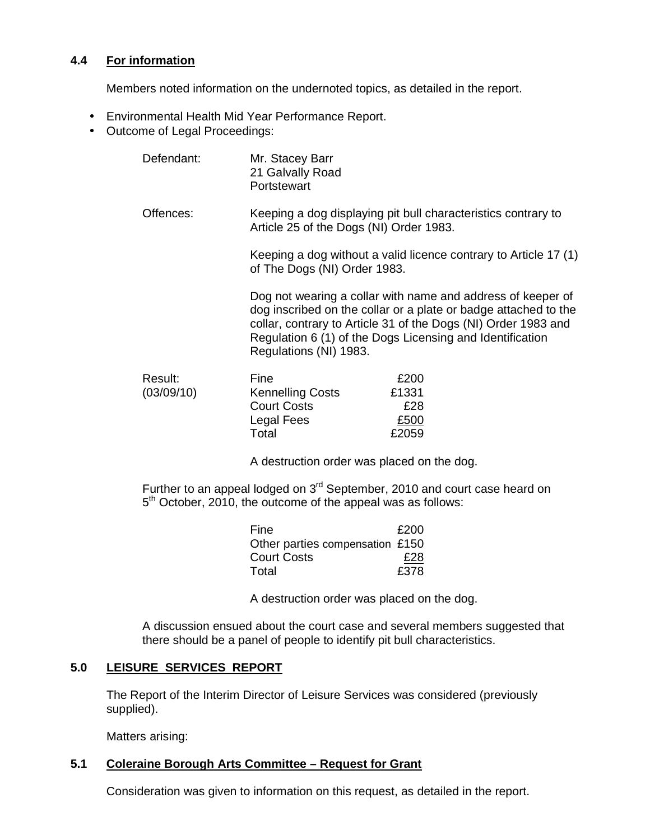# **4.4 For information**

Members noted information on the undernoted topics, as detailed in the report.

- Environmental Health Mid Year Performance Report.
- Outcome of Legal Proceedings:

| Defendant:            | Mr. Stacey Barr<br>21 Galvally Road<br>Portstewart                                                                                                                                                                                                                                      |                                                                  |
|-----------------------|-----------------------------------------------------------------------------------------------------------------------------------------------------------------------------------------------------------------------------------------------------------------------------------------|------------------------------------------------------------------|
| Offences:             | Article 25 of the Dogs (NI) Order 1983.                                                                                                                                                                                                                                                 | Keeping a dog displaying pit bull characteristics contrary to    |
|                       | of The Dogs (NI) Order 1983.                                                                                                                                                                                                                                                            | Keeping a dog without a valid licence contrary to Article 17 (1) |
|                       | Dog not wearing a collar with name and address of keeper of<br>dog inscribed on the collar or a plate or badge attached to the<br>collar, contrary to Article 31 of the Dogs (NI) Order 1983 and<br>Regulation 6 (1) of the Dogs Licensing and Identification<br>Regulations (NI) 1983. |                                                                  |
| Result:<br>(03/09/10) | Fine<br><b>Kennelling Costs</b>                                                                                                                                                                                                                                                         | £200<br>£1331                                                    |

| Result:    | Fine                    | £200  |
|------------|-------------------------|-------|
| (03/09/10) | <b>Kennelling Costs</b> | £1331 |
|            | <b>Court Costs</b>      | £28   |
|            | Legal Fees              | £500  |
|            | Total                   | £2059 |

A destruction order was placed on the dog.

Further to an appeal lodged on 3<sup>rd</sup> September, 2010 and court case heard on 5<sup>th</sup> October, 2010, the outcome of the appeal was as follows:

| Fine                            | £200 |
|---------------------------------|------|
| Other parties compensation £150 |      |
| <b>Court Costs</b>              | £28  |
| Total                           | £378 |

A destruction order was placed on the dog.

 A discussion ensued about the court case and several members suggested that there should be a panel of people to identify pit bull characteristics.

# **5.0 LEISURE SERVICES REPORT**

 The Report of the Interim Director of Leisure Services was considered (previously supplied).

Matters arising:

# **5.1 Coleraine Borough Arts Committee – Request for Grant**

Consideration was given to information on this request, as detailed in the report.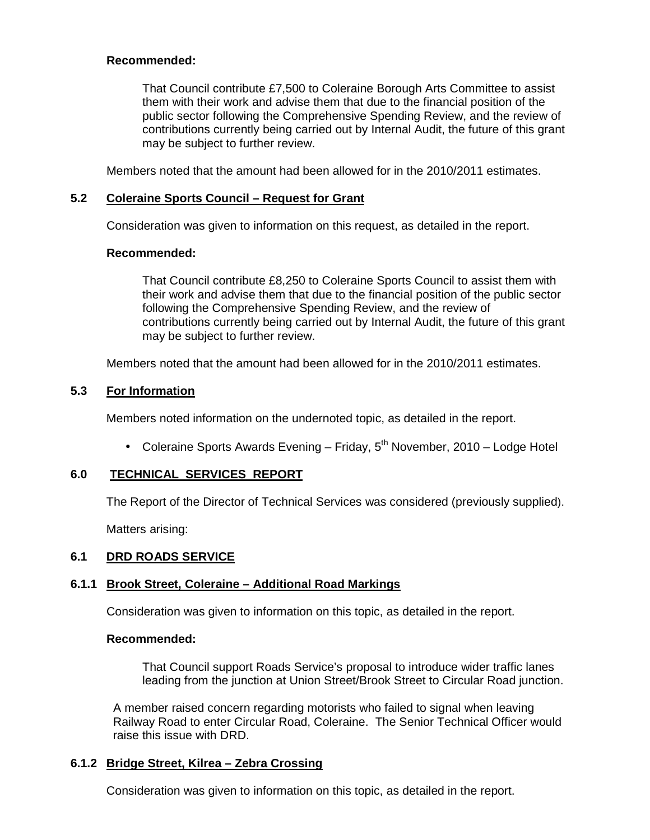# **Recommended:**

 That Council contribute £7,500 to Coleraine Borough Arts Committee to assist them with their work and advise them that due to the financial position of the public sector following the Comprehensive Spending Review, and the review of contributions currently being carried out by Internal Audit, the future of this grant may be subject to further review.

Members noted that the amount had been allowed for in the 2010/2011 estimates.

# **5.2 Coleraine Sports Council – Request for Grant**

Consideration was given to information on this request, as detailed in the report.

# **Recommended:**

 That Council contribute £8,250 to Coleraine Sports Council to assist them with their work and advise them that due to the financial position of the public sector following the Comprehensive Spending Review, and the review of contributions currently being carried out by Internal Audit, the future of this grant may be subject to further review.

Members noted that the amount had been allowed for in the 2010/2011 estimates.

# **5.3 For Information**

Members noted information on the undernoted topic, as detailed in the report.

• Coleraine Sports Awards Evening – Friday,  $5<sup>th</sup>$  November, 2010 – Lodge Hotel

# **6.0 TECHNICAL SERVICES REPORT**

The Report of the Director of Technical Services was considered (previously supplied).

Matters arising:

# **6.1 DRD ROADS SERVICE**

# **6.1.1 Brook Street, Coleraine – Additional Road Markings**

Consideration was given to information on this topic, as detailed in the report.

# **Recommended:**

 That Council support Roads Service's proposal to introduce wider traffic lanes leading from the junction at Union Street/Brook Street to Circular Road junction.

A member raised concern regarding motorists who failed to signal when leaving Railway Road to enter Circular Road, Coleraine. The Senior Technical Officer would raise this issue with DRD.

# **6.1.2 Bridge Street, Kilrea – Zebra Crossing**

Consideration was given to information on this topic, as detailed in the report.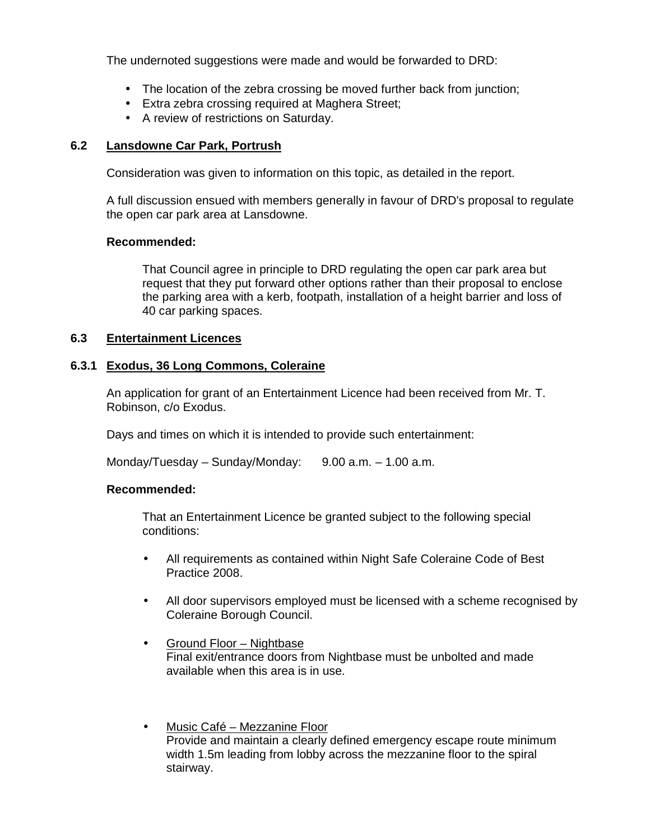The undernoted suggestions were made and would be forwarded to DRD:

- The location of the zebra crossing be moved further back from junction;
- Extra zebra crossing required at Maghera Street;
- A review of restrictions on Saturday.

# **6.2 Lansdowne Car Park, Portrush**

Consideration was given to information on this topic, as detailed in the report.

A full discussion ensued with members generally in favour of DRD's proposal to regulate the open car park area at Lansdowne.

#### **Recommended:**

That Council agree in principle to DRD regulating the open car park area but request that they put forward other options rather than their proposal to enclose the parking area with a kerb, footpath, installation of a height barrier and loss of 40 car parking spaces.

### **6.3 Entertainment Licences**

### **6.3.1 Exodus, 36 Long Commons, Coleraine**

 An application for grant of an Entertainment Licence had been received from Mr. T. Robinson, c/o Exodus.

Days and times on which it is intended to provide such entertainment:

Monday/Tuesday – Sunday/Monday:  $9.00$  a.m. – 1.00 a.m.

#### **Recommended:**

 That an Entertainment Licence be granted subject to the following special conditions:

- All requirements as contained within Night Safe Coleraine Code of Best Practice 2008.
- All door supervisors employed must be licensed with a scheme recognised by Coleraine Borough Council.
- Ground Floor Nightbase Final exit/entrance doors from Nightbase must be unbolted and made available when this area is in use.
- Music Café Mezzanine Floor Provide and maintain a clearly defined emergency escape route minimum width 1.5m leading from lobby across the mezzanine floor to the spiral stairway.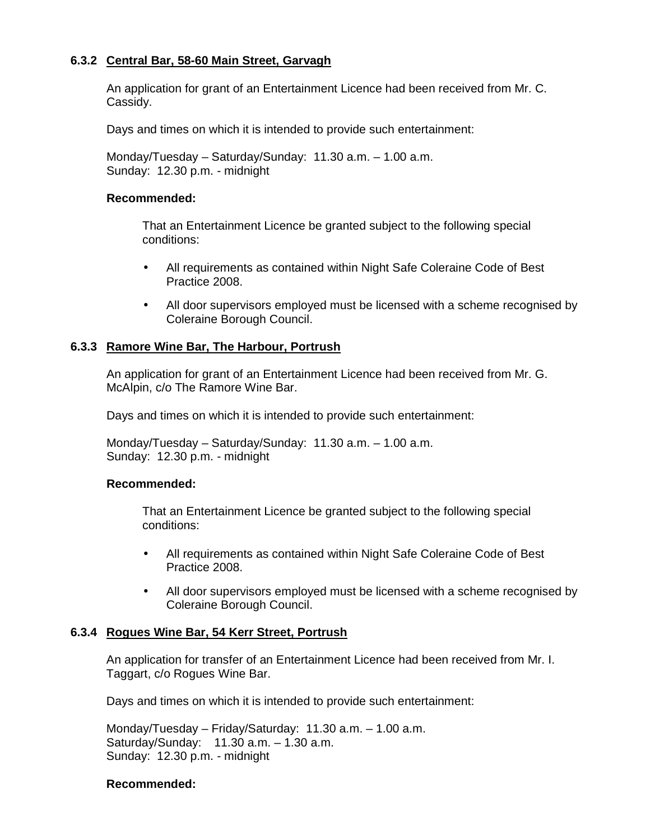# **6.3.2 Central Bar, 58-60 Main Street, Garvagh**

 An application for grant of an Entertainment Licence had been received from Mr. C. Cassidy.

Days and times on which it is intended to provide such entertainment:

 Monday/Tuesday – Saturday/Sunday: 11.30 a.m. – 1.00 a.m. Sunday: 12.30 p.m. - midnight

#### **Recommended:**

 That an Entertainment Licence be granted subject to the following special conditions:

- All requirements as contained within Night Safe Coleraine Code of Best Practice 2008.
- All door supervisors employed must be licensed with a scheme recognised by Coleraine Borough Council.

### **6.3.3 Ramore Wine Bar, The Harbour, Portrush**

An application for grant of an Entertainment Licence had been received from Mr. G. McAlpin, c/o The Ramore Wine Bar.

Days and times on which it is intended to provide such entertainment:

Monday/Tuesday – Saturday/Sunday: 11.30 a.m. – 1.00 a.m. Sunday: 12.30 p.m. - midnight

#### **Recommended:**

 That an Entertainment Licence be granted subject to the following special conditions:

- All requirements as contained within Night Safe Coleraine Code of Best Practice 2008.
- All door supervisors employed must be licensed with a scheme recognised by Coleraine Borough Council.

#### **6.3.4 Rogues Wine Bar, 54 Kerr Street, Portrush**

An application for transfer of an Entertainment Licence had been received from Mr. I. Taggart, c/o Rogues Wine Bar.

Days and times on which it is intended to provide such entertainment:

Monday/Tuesday – Friday/Saturday: 11.30 a.m. – 1.00 a.m. Saturday/Sunday: 11.30 a.m. – 1.30 a.m. Sunday: 12.30 p.m. - midnight

#### **Recommended:**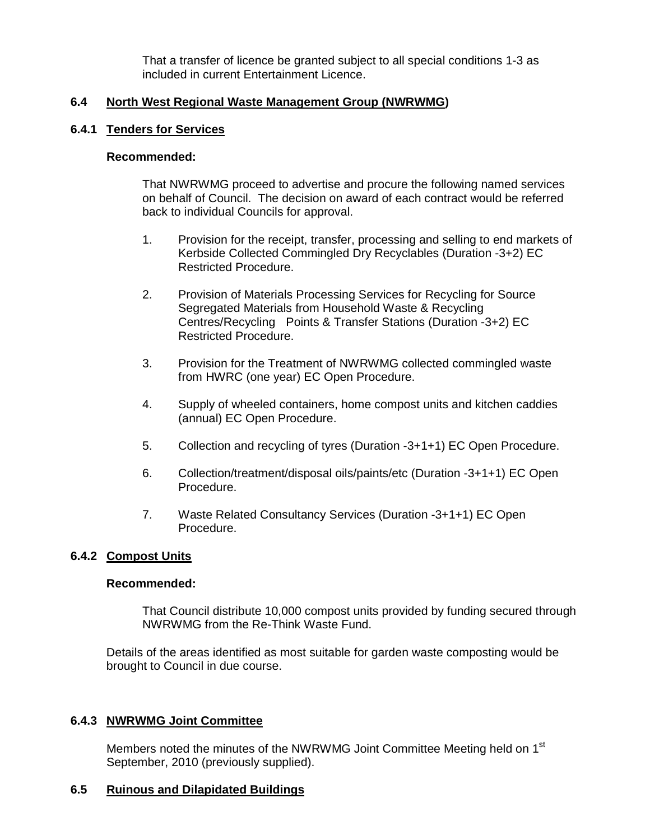That a transfer of licence be granted subject to all special conditions 1-3 as included in current Entertainment Licence.

# **6.4 North West Regional Waste Management Group (NWRWMG)**

# **6.4.1 Tenders for Services**

### **Recommended:**

 That NWRWMG proceed to advertise and procure the following named services on behalf of Council. The decision on award of each contract would be referred back to individual Councils for approval.

- 1. Provision for the receipt, transfer, processing and selling to end markets of Kerbside Collected Commingled Dry Recyclables (Duration -3+2) EC Restricted Procedure.
- 2. Provision of Materials Processing Services for Recycling for Source Segregated Materials from Household Waste & Recycling Centres/Recycling Points & Transfer Stations (Duration -3+2) EC Restricted Procedure.
- 3. Provision for the Treatment of NWRWMG collected commingled waste from HWRC (one year) EC Open Procedure.
- 4. Supply of wheeled containers, home compost units and kitchen caddies (annual) EC Open Procedure.
- 5. Collection and recycling of tyres (Duration -3+1+1) EC Open Procedure.
- 6. Collection/treatment/disposal oils/paints/etc (Duration -3+1+1) EC Open Procedure.
- 7. Waste Related Consultancy Services (Duration -3+1+1) EC Open Procedure.

# **6.4.2 Compost Units**

# **Recommended:**

 That Council distribute 10,000 compost units provided by funding secured through NWRWMG from the Re-Think Waste Fund.

 Details of the areas identified as most suitable for garden waste composting would be brought to Council in due course.

# **6.4.3 NWRWMG Joint Committee**

Members noted the minutes of the NWRWMG Joint Committee Meeting held on 1<sup>st</sup> September, 2010 (previously supplied).

# **6.5 Ruinous and Dilapidated Buildings**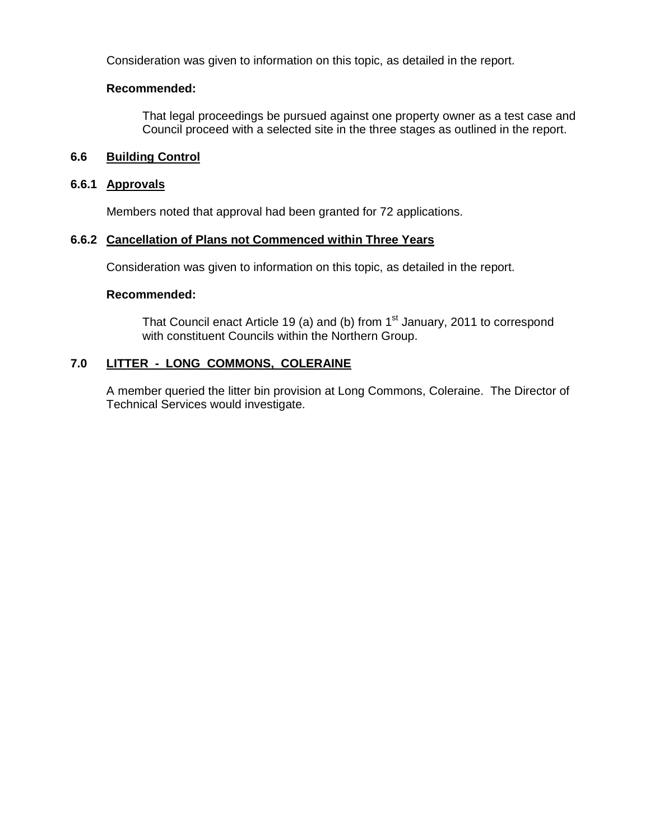Consideration was given to information on this topic, as detailed in the report.

# **Recommended:**

 That legal proceedings be pursued against one property owner as a test case and Council proceed with a selected site in the three stages as outlined in the report.

# **6.6 Building Control**

# **6.6.1 Approvals**

Members noted that approval had been granted for 72 applications.

# **6.6.2 Cancellation of Plans not Commenced within Three Years**

Consideration was given to information on this topic, as detailed in the report.

# **Recommended:**

That Council enact Article 19 (a) and (b) from  $1<sup>st</sup>$  January, 2011 to correspond with constituent Councils within the Northern Group.

# **7.0 LITTER - LONG COMMONS, COLERAINE**

 A member queried the litter bin provision at Long Commons, Coleraine. The Director of Technical Services would investigate.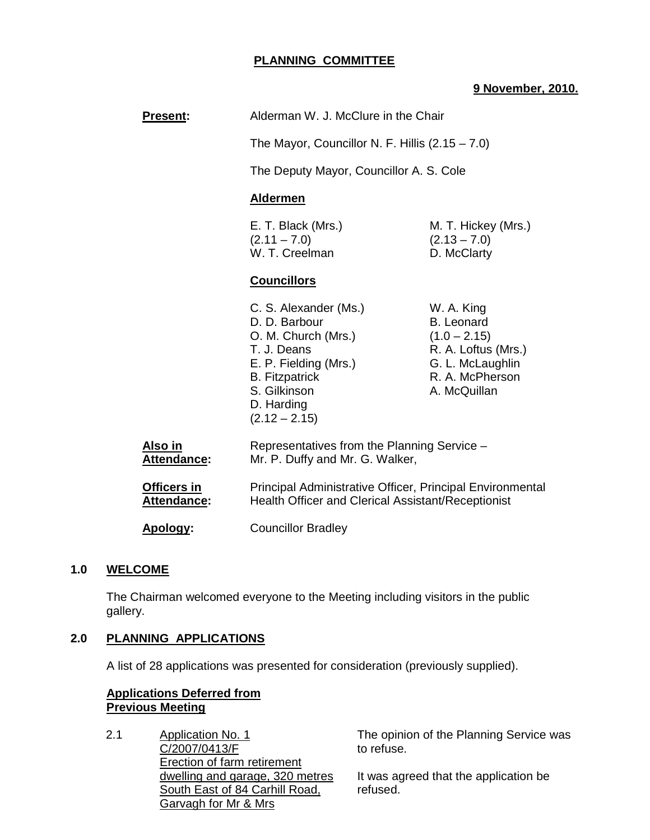# **PLANNING COMMITTEE**

### **9 November, 2010.**

| <b>Present:</b>                      | Alderman W. J. McClure in the Chair                                                                                                                                             |                                                                                                                                 |
|--------------------------------------|---------------------------------------------------------------------------------------------------------------------------------------------------------------------------------|---------------------------------------------------------------------------------------------------------------------------------|
|                                      | The Mayor, Councillor N. F. Hillis $(2.15 - 7.0)$                                                                                                                               |                                                                                                                                 |
|                                      | The Deputy Mayor, Councillor A. S. Cole                                                                                                                                         |                                                                                                                                 |
|                                      | <b>Aldermen</b>                                                                                                                                                                 |                                                                                                                                 |
|                                      | E. T. Black (Mrs.)<br>$(2.11 - 7.0)$<br>W. T. Creelman                                                                                                                          | M. T. Hickey (Mrs.)<br>$(2.13 - 7.0)$<br>D. McClarty                                                                            |
|                                      | <b>Councillors</b>                                                                                                                                                              |                                                                                                                                 |
|                                      | C. S. Alexander (Ms.)<br>D. D. Barbour<br>O. M. Church (Mrs.)<br>T. J. Deans<br>E. P. Fielding (Mrs.)<br><b>B.</b> Fitzpatrick<br>S. Gilkinson<br>D. Harding<br>$(2.12 - 2.15)$ | W. A. King<br><b>B.</b> Leonard<br>$(1.0 - 2.15)$<br>R. A. Loftus (Mrs.)<br>G. L. McLaughlin<br>R. A. McPherson<br>A. McQuillan |
| <u>Also in</u><br><b>Attendance:</b> | Representatives from the Planning Service -<br>Mr. P. Duffy and Mr. G. Walker,                                                                                                  |                                                                                                                                 |
| Officers in<br><b>Attendance:</b>    | Principal Administrative Officer, Principal Environmental<br>Health Officer and Clerical Assistant/Receptionist                                                                 |                                                                                                                                 |
| Apology:                             | <b>Councillor Bradley</b>                                                                                                                                                       |                                                                                                                                 |

#### **1.0 WELCOME**

 The Chairman welcomed everyone to the Meeting including visitors in the public gallery.

#### **2.0 PLANNING APPLICATIONS**

A list of 28 applications was presented for consideration (previously supplied).

### **Applications Deferred from Previous Meeting**

2.1 Application No. 1 C/2007/0413/F Erection of farm retirement dwelling and garage, 320 metres South East of 84 Carhill Road, Garvagh for Mr & Mrs

The opinion of the Planning Service was to refuse.

It was agreed that the application be refused.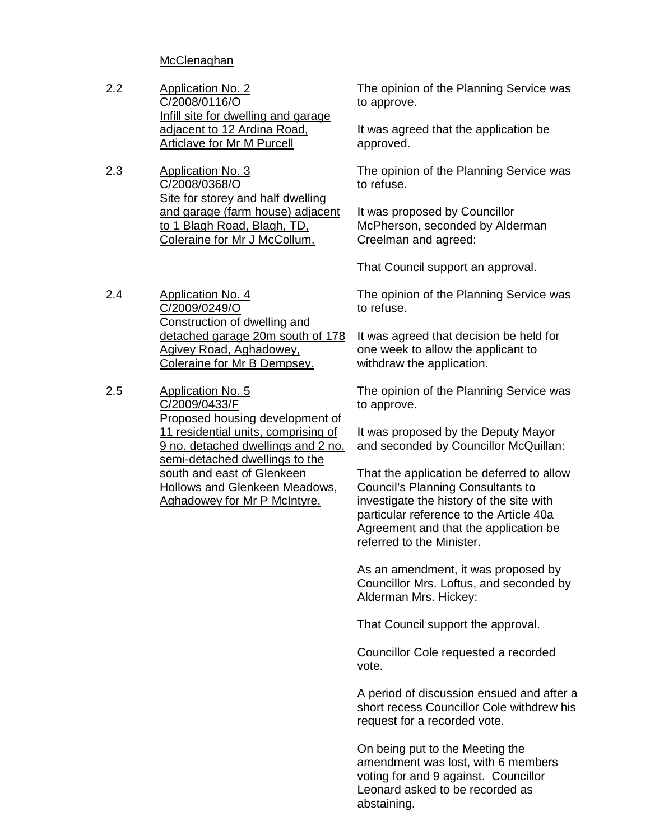**McClenaghan** 

- 2.2 Application No. 2 C/2008/0116/O Infill site for dwelling and garage adjacent to 12 Ardina Road, Articlave for Mr M Purcell
- 2.3 Application No. 3 C/2008/0368/O Site for storey and half dwelling and garage (farm house) adjacent to 1 Blagh Road, Blagh, TD, Coleraine for Mr J McCollum.

2.4 Application No. 4 C/2009/0249/O Construction of dwelling and detached garage 20m south of 178 Agivey Road, Aghadowey, Coleraine for Mr B Dempsey.

2.5 Application No. 5 C/2009/0433/F Proposed housing development of 11 residential units, comprising of 9 no. detached dwellings and 2 no. semi-detached dwellings to the south and east of Glenkeen Hollows and Glenkeen Meadows, Aghadowey for Mr P McIntyre.

The opinion of the Planning Service was to approve.

It was agreed that the application be approved.

The opinion of the Planning Service was to refuse.

It was proposed by Councillor McPherson, seconded by Alderman Creelman and agreed:

That Council support an approval.

The opinion of the Planning Service was to refuse.

It was agreed that decision be held for one week to allow the applicant to withdraw the application.

The opinion of the Planning Service was to approve.

It was proposed by the Deputy Mayor and seconded by Councillor McQuillan:

That the application be deferred to allow Council's Planning Consultants to investigate the history of the site with particular reference to the Article 40a Agreement and that the application be referred to the Minister.

As an amendment, it was proposed by Councillor Mrs. Loftus, and seconded by Alderman Mrs. Hickey:

That Council support the approval.

Councillor Cole requested a recorded vote.

A period of discussion ensued and after a short recess Councillor Cole withdrew his request for a recorded vote.

On being put to the Meeting the amendment was lost, with 6 members voting for and 9 against. Councillor Leonard asked to be recorded as abstaining.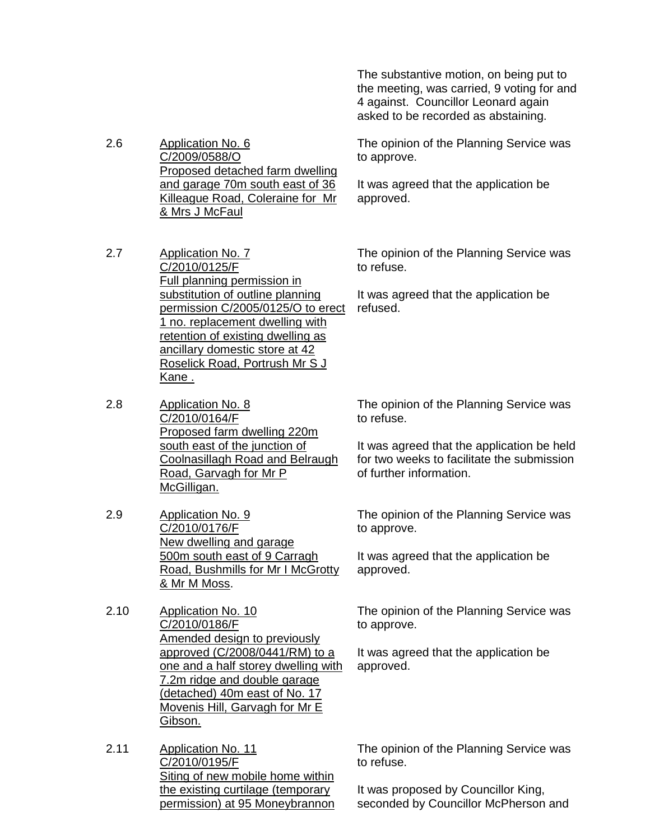The substantive motion, on being put to the meeting, was carried, 9 voting for and 4 against. Councillor Leonard again asked to be recorded as abstaining.

2.6 Application No. 6 C/2009/0588/O Proposed detached farm dwelling and garage 70m south east of 36 Killeague Road, Coleraine for Mr & Mrs J McFaul

- 2.7 Application No. 7 C/2010/0125/F Full planning permission in substitution of outline planning permission C/2005/0125/O to erect 1 no. replacement dwelling with retention of existing dwelling as ancillary domestic store at 42 Roselick Road, Portrush Mr S J Kane .
- 2.8 Application No. 8 C/2010/0164/F Proposed farm dwelling 220m south east of the junction of Coolnasillagh Road and Belraugh Road, Garvagh for Mr P McGilligan.
- 2.9 Application No. 9 C/2010/0176/F New dwelling and garage 500m south east of 9 Carragh Road, Bushmills for Mr I McGrotty & Mr M Moss.
- 2.10 Application No. 10 C/2010/0186/F Amended design to previously approved (C/2008/0441/RM) to a one and a half storey dwelling with 7.2m ridge and double garage (detached) 40m east of No. 17 Movenis Hill, Garvagh for Mr E Gibson.
- 2.11 Application No. 11 C/2010/0195/F Siting of new mobile home within the existing curtilage (temporary permission) at 95 Moneybrannon

The opinion of the Planning Service was to approve.

It was agreed that the application be approved.

The opinion of the Planning Service was to refuse.

It was agreed that the application be refused.

The opinion of the Planning Service was to refuse.

It was agreed that the application be held for two weeks to facilitate the submission of further information.

The opinion of the Planning Service was to approve.

It was agreed that the application be approved.

The opinion of the Planning Service was to approve.

It was agreed that the application be approved.

The opinion of the Planning Service was to refuse.

It was proposed by Councillor King, seconded by Councillor McPherson and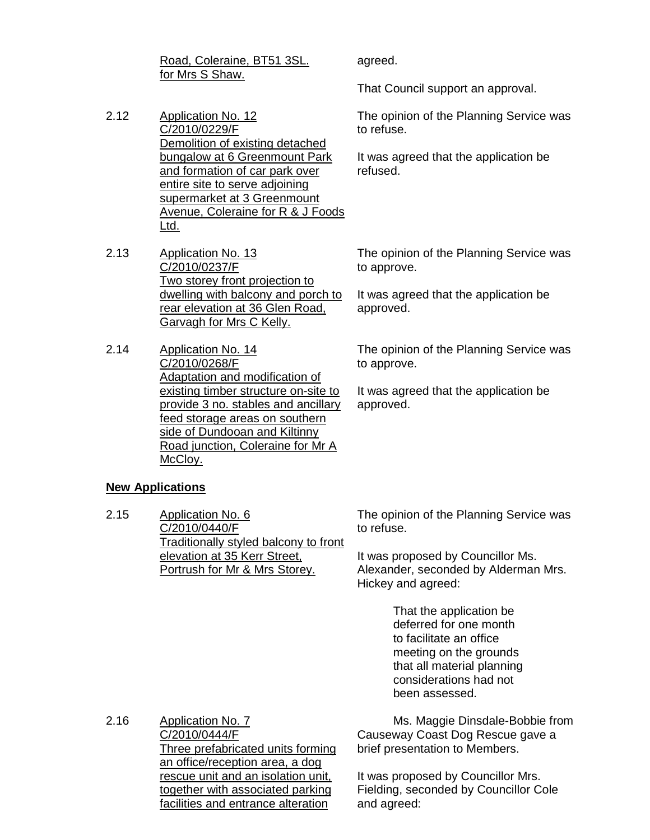Road, Coleraine, BT51 3SL. for Mrs S Shaw.

- 2.12 Application No. 12 C/2010/0229/F Demolition of existing detached bungalow at 6 Greenmount Park and formation of car park over entire site to serve adjoining supermarket at 3 Greenmount Avenue, Coleraine for R & J Foods Ltd.
- 2.13 Application No. 13 C/2010/0237/F Two storey front projection to dwelling with balcony and porch to rear elevation at 36 Glen Road, Garvagh for Mrs C Kelly.
- 2.14 Application No. 14 C/2010/0268/F Adaptation and modification of existing timber structure on-site to provide 3 no. stables and ancillary feed storage areas on southern side of Dundooan and Kiltinny Road junction, Coleraine for Mr A McCloy.

#### **New Applications**

2.15 Application No. 6 C/2010/0440/F Traditionally styled balcony to front elevation at 35 Kerr Street, Portrush for Mr & Mrs Storey.

agreed.

That Council support an approval.

The opinion of the Planning Service was to refuse.

It was agreed that the application be refused.

The opinion of the Planning Service was to approve.

It was agreed that the application be approved.

The opinion of the Planning Service was to approve.

It was agreed that the application be approved.

The opinion of the Planning Service was to refuse.

It was proposed by Councillor Ms. Alexander, seconded by Alderman Mrs. Hickey and agreed:

> That the application be deferred for one month to facilitate an office meeting on the grounds that all material planning considerations had not been assessed.

2.16 Application No. 7 C/2010/0444/F Three prefabricated units forming an office/reception area, a dog rescue unit and an isolation unit, together with associated parking facilities and entrance alteration

 Ms. Maggie Dinsdale-Bobbie from Causeway Coast Dog Rescue gave a brief presentation to Members.

It was proposed by Councillor Mrs. Fielding, seconded by Councillor Cole and agreed: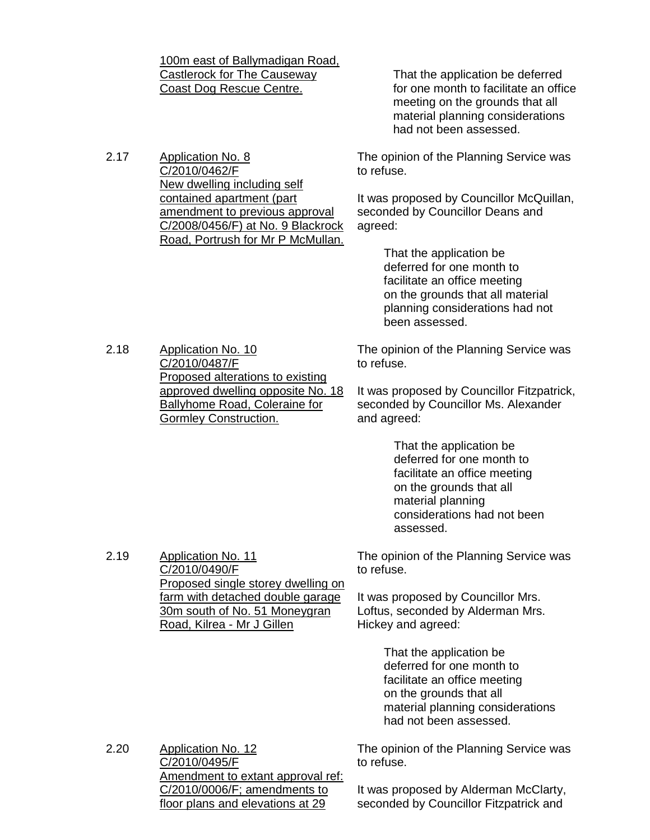Castlerock for The Causeway Coast Dog Rescue Centre. That the application be deferred for one month to facilitate an office meeting on the grounds that all material planning considerations had not been assessed. 2.17 Application No. 8 C/2010/0462/F New dwelling including self contained apartment (part amendment to previous approval C/2008/0456/F) at No. 9 Blackrock Road, Portrush for Mr P McMullan. The opinion of the Planning Service was to refuse. It was proposed by Councillor McQuillan, seconded by Councillor Deans and agreed: That the application be deferred for one month to facilitate an office meeting on the grounds that all material planning considerations had not been assessed. 2.18 Application No. 10 C/2010/0487/F Proposed alterations to existing approved dwelling opposite No. 18 Ballyhome Road, Coleraine for Gormley Construction. The opinion of the Planning Service was to refuse. It was proposed by Councillor Fitzpatrick, seconded by Councillor Ms. Alexander and agreed: That the application be deferred for one month to facilitate an office meeting on the grounds that all material planning considerations had not been assessed. 2.19 Application No. 11 C/2010/0490/F Proposed single storey dwelling on farm with detached double garage 30m south of No. 51 Moneygran Road, Kilrea - Mr J Gillen The opinion of the Planning Service was to refuse. It was proposed by Councillor Mrs. Loftus, seconded by Alderman Mrs. Hickey and agreed: That the application be deferred for one month to facilitate an office meeting on the grounds that all material planning considerations had not been assessed. 2.20 Application No. 12 C/2010/0495/F Amendment to extant approval ref: C/2010/0006/F; amendments to floor plans and elevations at 29 The opinion of the Planning Service was to refuse. It was proposed by Alderman McClarty, seconded by Councillor Fitzpatrick and

100m east of Ballymadigan Road,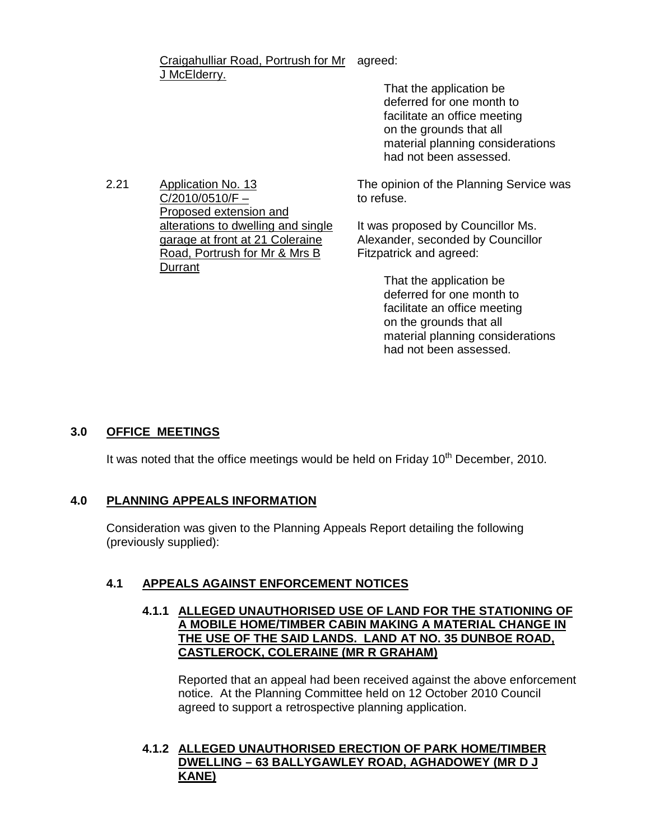Craigahulliar Road, Portrush for Mr agreed: J McElderry.

> That the application be deferred for one month to facilitate an office meeting on the grounds that all material planning considerations had not been assessed.

2.21 Application No. 13  $C/2010/0510/F -$ Proposed extension and alterations to dwelling and single garage at front at 21 Coleraine Road, Portrush for Mr & Mrs B Durrant

The opinion of the Planning Service was to refuse.

It was proposed by Councillor Ms. Alexander, seconded by Councillor Fitzpatrick and agreed:

> That the application be deferred for one month to facilitate an office meeting on the grounds that all material planning considerations had not been assessed.

# **3.0 OFFICE MEETINGS**

It was noted that the office meetings would be held on Friday  $10<sup>th</sup>$  December, 2010.

# **4.0 PLANNING APPEALS INFORMATION**

Consideration was given to the Planning Appeals Report detailing the following (previously supplied):

# **4.1 APPEALS AGAINST ENFORCEMENT NOTICES**

# **4.1.1 ALLEGED UNAUTHORISED USE OF LAND FOR THE STATIONING OF A MOBILE HOME/TIMBER CABIN MAKING A MATERIAL CHANGE IN THE USE OF THE SAID LANDS. LAND AT NO. 35 DUNBOE ROAD, CASTLEROCK, COLERAINE (MR R GRAHAM)**

Reported that an appeal had been received against the above enforcement notice. At the Planning Committee held on 12 October 2010 Council agreed to support a retrospective planning application.

# **4.1.2 ALLEGED UNAUTHORISED ERECTION OF PARK HOME/TIMBER DWELLING – 63 BALLYGAWLEY ROAD, AGHADOWEY (MR D J KANE)**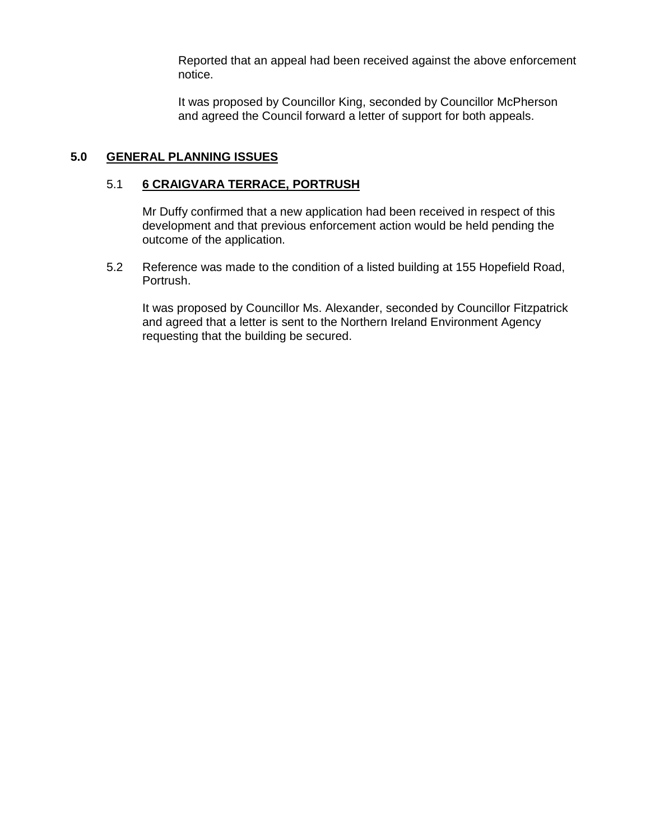Reported that an appeal had been received against the above enforcement notice.

It was proposed by Councillor King, seconded by Councillor McPherson and agreed the Council forward a letter of support for both appeals.

# **5.0 GENERAL PLANNING ISSUES**

### 5.1 **6 CRAIGVARA TERRACE, PORTRUSH**

Mr Duffy confirmed that a new application had been received in respect of this development and that previous enforcement action would be held pending the outcome of the application.

5.2 Reference was made to the condition of a listed building at 155 Hopefield Road, Portrush.

It was proposed by Councillor Ms. Alexander, seconded by Councillor Fitzpatrick and agreed that a letter is sent to the Northern Ireland Environment Agency requesting that the building be secured.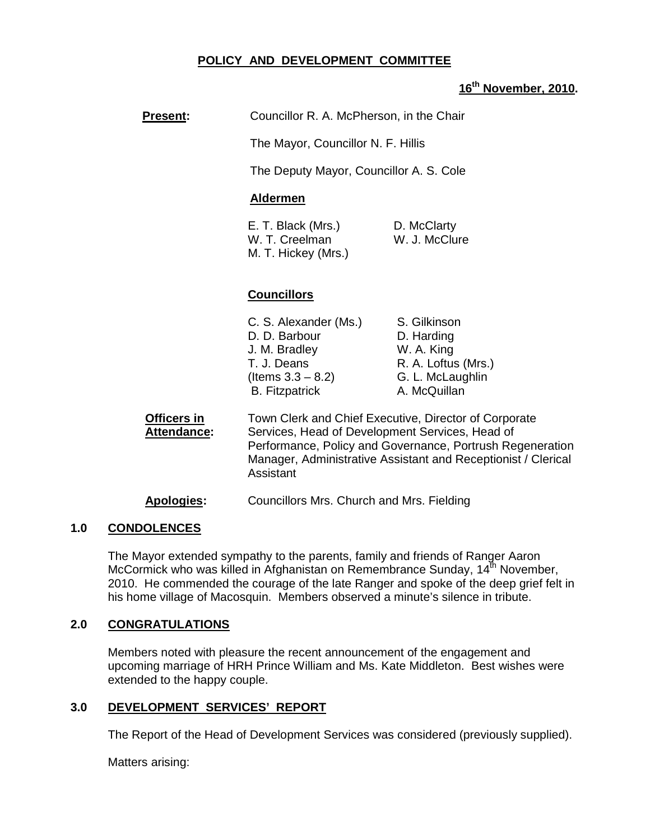# **POLICY AND DEVELOPMENT COMMITTEE**

# **16th November, 2010.**

**Present:** Councillor R. A. McPherson, in the Chair

The Mayor, Councillor N. F. Hillis

The Deputy Mayor, Councillor A. S. Cole

#### **Aldermen**

E. T. Black (Mrs.) D. McClarty W. T. Creelman W. J. McClure M. T. Hickey (Mrs.)

# **Councillors**

| C. S. Alexander (Ms.) | S. Gilkinson        |
|-----------------------|---------------------|
| D. D. Barbour         | D. Harding          |
| J. M. Bradley         | W. A. King          |
| T. J. Deans           | R. A. Loftus (Mrs.) |
| (Items $3.3 - 8.2$ )  | G. L. McLaughlin    |
| <b>B.</b> Fitzpatrick | A. McQuillan        |

**Officers in** Town Clerk and Chief Executive, Director of Corporate Attendance: Services, Head of Development Services, Head of Performance, Policy and Governance, Portrush Regeneration Manager, Administrative Assistant and Receptionist / Clerical **Assistant** 

**Apologies:** Councillors Mrs. Church and Mrs. Fielding

# **1.0 CONDOLENCES**

 The Mayor extended sympathy to the parents, family and friends of Ranger Aaron McCormick who was killed in Afghanistan on Remembrance Sunday,  $14^{\text{th}}$  November, 2010. He commended the courage of the late Ranger and spoke of the deep grief felt in his home village of Macosquin. Members observed a minute's silence in tribute.

#### **2.0 CONGRATULATIONS**

 Members noted with pleasure the recent announcement of the engagement and upcoming marriage of HRH Prince William and Ms. Kate Middleton. Best wishes were extended to the happy couple.

# **3.0 DEVELOPMENT SERVICES' REPORT**

The Report of the Head of Development Services was considered (previously supplied).

Matters arising: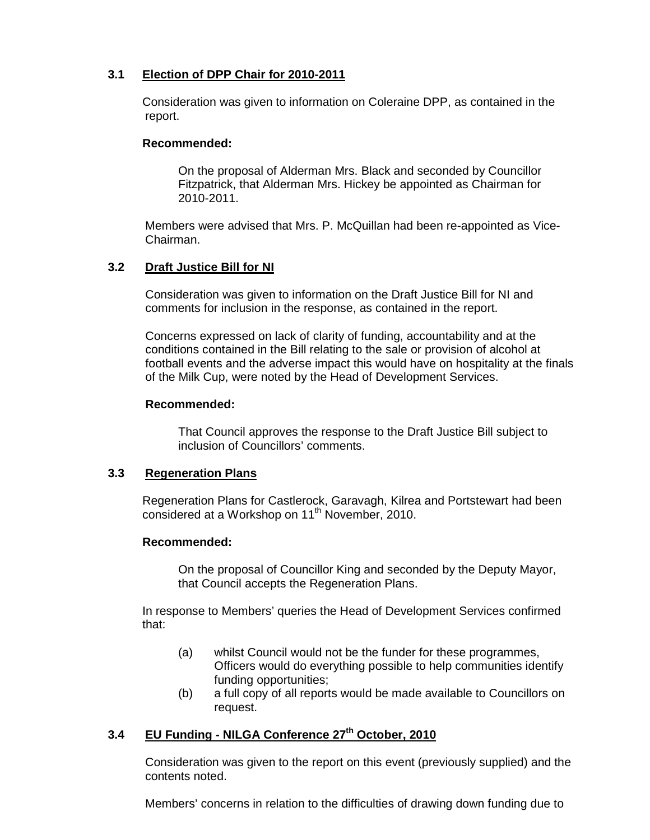# **3.1 Election of DPP Chair for 2010-2011**

Consideration was given to information on Coleraine DPP, as contained in the report.

### **Recommended:**

On the proposal of Alderman Mrs. Black and seconded by Councillor Fitzpatrick, that Alderman Mrs. Hickey be appointed as Chairman for 2010-2011.

Members were advised that Mrs. P. McQuillan had been re-appointed as Vice-Chairman.

# **3.2 Draft Justice Bill for NI**

Consideration was given to information on the Draft Justice Bill for NI and comments for inclusion in the response, as contained in the report.

Concerns expressed on lack of clarity of funding, accountability and at the conditions contained in the Bill relating to the sale or provision of alcohol at football events and the adverse impact this would have on hospitality at the finals of the Milk Cup, were noted by the Head of Development Services.

### **Recommended:**

That Council approves the response to the Draft Justice Bill subject to inclusion of Councillors' comments.

# **3.3 Regeneration Plans**

Regeneration Plans for Castlerock, Garavagh, Kilrea and Portstewart had been considered at a Workshop on 11<sup>th</sup> November, 2010.

# **Recommended:**

 On the proposal of Councillor King and seconded by the Deputy Mayor, that Council accepts the Regeneration Plans.

In response to Members' queries the Head of Development Services confirmed that:

- (a) whilst Council would not be the funder for these programmes, Officers would do everything possible to help communities identify funding opportunities;
- (b) a full copy of all reports would be made available to Councillors on request.

# **3.4 EU Funding - NILGA Conference 27th October, 2010**

 Consideration was given to the report on this event (previously supplied) and the contents noted.

Members' concerns in relation to the difficulties of drawing down funding due to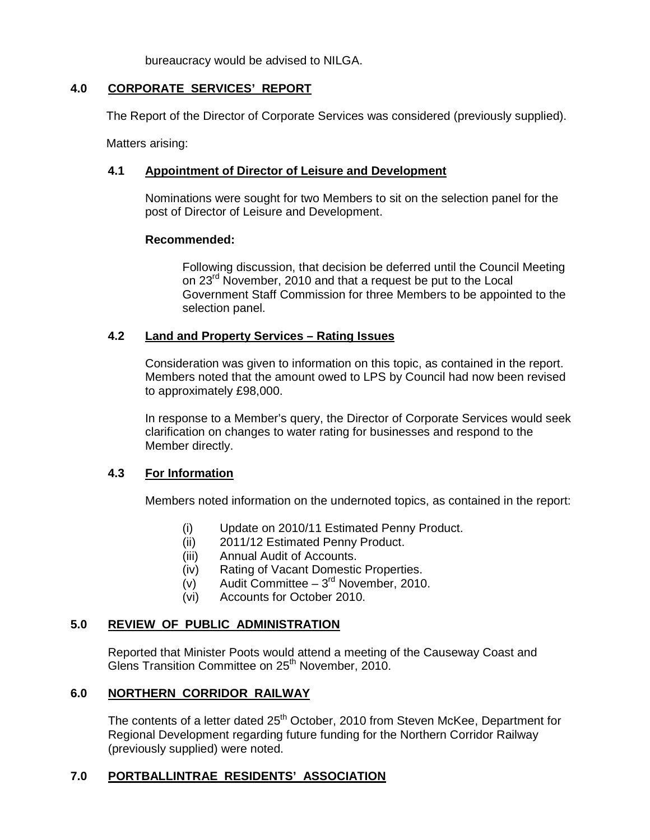bureaucracy would be advised to NILGA.

# **4.0 CORPORATE SERVICES' REPORT**

The Report of the Director of Corporate Services was considered (previously supplied).

Matters arising:

# **4.1 Appointment of Director of Leisure and Development**

Nominations were sought for two Members to sit on the selection panel for the post of Director of Leisure and Development.

### **Recommended:**

Following discussion, that decision be deferred until the Council Meeting on 23<sup>rd</sup> November, 2010 and that a request be put to the Local Government Staff Commission for three Members to be appointed to the selection panel.

# **4.2 Land and Property Services – Rating Issues**

Consideration was given to information on this topic, as contained in the report. Members noted that the amount owed to LPS by Council had now been revised to approximately £98,000.

In response to a Member's query, the Director of Corporate Services would seek clarification on changes to water rating for businesses and respond to the Member directly.

# **4.3 For Information**

Members noted information on the undernoted topics, as contained in the report:

- (i) Update on 2010/11 Estimated Penny Product.
- (ii) 2011/12 Estimated Penny Product.
- (iii) Annual Audit of Accounts.
- (iv) Rating of Vacant Domestic Properties.
- (v) Audit Committee  $3^{rd}$  November, 2010.
- (vi) Accounts for October 2010.

#### **5.0 REVIEW OF PUBLIC ADMINISTRATION**

 Reported that Minister Poots would attend a meeting of the Causeway Coast and Glens Transition Committee on 25<sup>th</sup> November, 2010.

#### **6.0 NORTHERN CORRIDOR RAILWAY**

The contents of a letter dated 25<sup>th</sup> October, 2010 from Steven McKee, Department for Regional Development regarding future funding for the Northern Corridor Railway (previously supplied) were noted.

# **7.0 PORTBALLINTRAE RESIDENTS' ASSOCIATION**